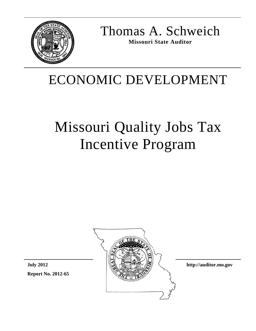

Thomas A. Schweich **Missouri State Auditor** 

# ECONOMIC DEVELOPMENT

# Missouri Quality Jobs Tax Incentive Program



**http://auditor.mo.gov** 

**Report No. 2012-65 July 2012**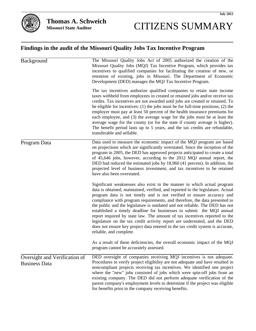# CITIZENS SUMMARY

#### **Findings in the audit of the Missouri Quality Jobs Tax Incentive Program**

| Background                                            | The Missouri Quality Jobs Act of 2005 authorized the creation of the<br>Missouri Quality Jobs (MQJ) Tax Incentive Program, which provides tax<br>incentives to qualified companies for facilitating the creation of new, or<br>retention of existing, jobs in Missouri. The Department of Economic<br>Development (DED) manages the MQJ Tax Incentive Program.                                                                                                                                                                                                                                                                                                                                                                                      |  |  |  |
|-------------------------------------------------------|-----------------------------------------------------------------------------------------------------------------------------------------------------------------------------------------------------------------------------------------------------------------------------------------------------------------------------------------------------------------------------------------------------------------------------------------------------------------------------------------------------------------------------------------------------------------------------------------------------------------------------------------------------------------------------------------------------------------------------------------------------|--|--|--|
|                                                       | The tax incentives authorize qualified companies to retain state income<br>taxes withheld from employees in created or retained jobs and/or receive tax<br>credits. Tax incentives are not awarded until jobs are created or retained. To<br>be eligible for incentives: (1) the jobs must be for full-time positions, (2) the<br>employer must pay at least 50 percent of the health insurance premiums for<br>each employee, and (3) the average wage for the jobs must be at least the<br>average wage for the county (or for the state if county average is higher).<br>The benefit period lasts up to 5 years, and the tax credits are refundable,<br>transferable and sellable.                                                               |  |  |  |
| Program Data                                          | Data used to measure the economic impact of the MQJ program are based<br>on projections which are significantly overstated. Since the inception of the<br>program in 2005, the DED has approved projects anticipated to create a total<br>of 45,646 jobs, however, according to the 2012 MQJ annual report, the<br>DED had reduced the estimated jobs by 18,960 (41 percent). In addition, the<br>projected level of business investment, and tax incentives to be retained<br>have also been overstated.                                                                                                                                                                                                                                           |  |  |  |
|                                                       | Significant weaknesses also exist in the manner in which actual program<br>data is obtained, maintained, verified, and reported to the legislature. Actual<br>program data is not timely and is not verified to ensure accuracy and<br>compliance with program requirements, and therefore, the data presented to<br>the public and the legislature is outdated and not reliable. The DED has not<br>established a timely deadline for businesses to submit the MQJ annual<br>report required by state law. The amount of tax incentives reported to the<br>legislature on the tax credit activity report are understated, and the DED<br>does not ensure key project data entered in the tax credit system is accurate,<br>reliable, and complete. |  |  |  |
|                                                       | As a result of these deficiencies, the overall economic impact of the MQJ<br>program cannot be accurately assessed.                                                                                                                                                                                                                                                                                                                                                                                                                                                                                                                                                                                                                                 |  |  |  |
| Oversight and Verification of<br><b>Business Data</b> | DED oversight of companies receiving MQJ incentives is not adequate.<br>Procedures to verify project eligibility are not adequate and have resulted in<br>noncompliant projects receiving tax incentives. We identified one project<br>where the "new" jobs consisted of jobs which were spin-off jobs from an<br>existing company. The DED did not perform adequate verification of the<br>parent company's employment levels to determine if the project was eligible<br>for benefits prior to the company receiving benefits.                                                                                                                                                                                                                    |  |  |  |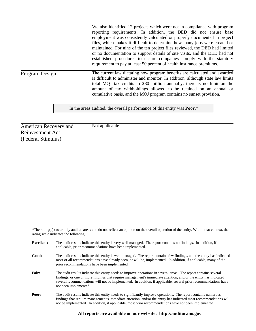We also identified 12 projects which were not in compliance with program reporting requirements. In addition, the DED did not ensure base employment was consistently calculated or properly documented in project files, which makes it difficult to determine how many jobs were created or maintained. For nine of the ten project files reviewed, the DED had limited or no documentation to support details of site visits, and the DED had not established procedures to ensure companies comply with the statutory requirement to pay at least 50 percent of health insurance premiums.

Program Design

The current law dictating how program benefits are calculated and awarded is difficult to administer and monitor. In addition, although state law limits total MQJ tax credits to \$80 million annually, there is no limit on the amount of tax withholdings allowed to be retained on an annual or cumulative basis, and the MQJ program contains no sunset provision.

In the areas audited, the overall performance of this entity was **Poor**.\*

American Recovery and Reinvestment Act (Federal Stimulus)

Not applicable.

**\***The rating(s) cover only audited areas and do not reflect an opinion on the overall operation of the entity. Within that context, the rating scale indicates the following:

| <b>Excellent:</b> | The audit results indicate this entity is very well managed. The report contains no findings. In addition, if<br>applicable, prior recommendations have been implemented.                                                                                                                                                                                                        |
|-------------------|----------------------------------------------------------------------------------------------------------------------------------------------------------------------------------------------------------------------------------------------------------------------------------------------------------------------------------------------------------------------------------|
| Good:             | The audit results indicate this entity is well managed. The report contains few findings, and the entity has indicated<br>most or all recommendations have already been, or will be, implemented. In addition, if applicable, many of the<br>prior recommendations have been implemented.                                                                                        |
| Fair:             | The audit results indicate this entity needs to improve operations in several areas. The report contains several<br>findings, or one or more findings that require management's immediate attention, and/or the entity has indicated<br>several recommendations will not be implemented. In addition, if applicable, several prior recommendations have<br>not been implemented. |
| Poor:             | The audit results indicate this entity needs to significantly improve operations. The report contains numerous<br>findings that require management's immediate attention, and/or the entity has indicated most recommendations will<br>not be implemented. In addition, if applicable, most prior recommendations have not been implemented.                                     |

#### **All reports are available on our website: http://auditor.mo.gov**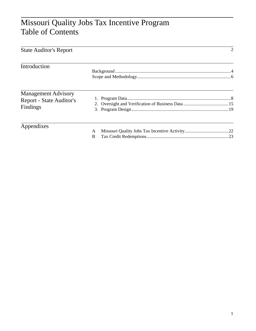### Missouri Quality Jobs Tax Incentive Program Table of Contents

| <b>State Auditor's Report</b>                                      |        | $\overline{2}$ |
|--------------------------------------------------------------------|--------|----------------|
| Introduction                                                       |        |                |
| <b>Management Advisory</b><br>Report - State Auditor's<br>Findings |        |                |
| Appendixes                                                         | A<br>B |                |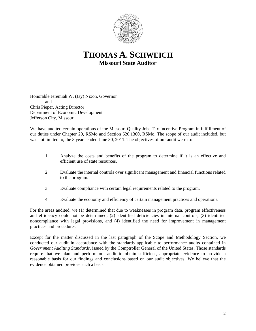

**THOMAS A. SCHWEICH Missouri State Auditor** 

Honorable Jeremiah W. (Jay) Nixon, Governor and Chris Pieper, Acting Director Department of Economic Development Jefferson City, Missouri

We have audited certain operations of the Missouri Quality Jobs Tax Incentive Program in fulfillment of our duties under Chapter 29, RSMo and Section 620.1300, RSMo. The scope of our audit included, but was not limited to, the 3 years ended June 30, 2011. The objectives of our audit were to:

- 1. Analyze the costs and benefits of the program to determine if it is an effective and efficient use of state resources.
- 2. Evaluate the internal controls over significant management and financial functions related to the program.
- 3. Evaluate compliance with certain legal requirements related to the program.
- 4. Evaluate the economy and efficiency of certain management practices and operations.

For the areas audited, we (1) determined that due to weaknesses in program data, program effectiveness and efficiency could not be determined, (2) identified deficiencies in internal controls, (3) identified noncompliance with legal provisions, and (4) identified the need for improvement in management practices and procedures.

Except for the matter discussed in the last paragraph of the Scope and Methodology Section, we conducted our audit in accordance with the standards applicable to performance audits contained in *Government Auditing Standards*, issued by the Comptroller General of the United States. Those standards require that we plan and perform our audit to obtain sufficient, appropriate evidence to provide a reasonable basis for our findings and conclusions based on our audit objectives. We believe that the evidence obtained provides such a basis.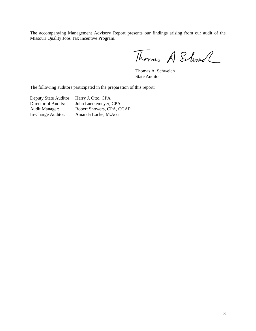The accompanying Management Advisory Report presents our findings arising from our audit of the Missouri Quality Jobs Tax Incentive Program.

Thomas A Schwell

 Thomas A. Schweich State Auditor

The following auditors participated in the preparation of this report:

Deputy State Auditor: Harry J. Otto, CPA

Director of Audits: John Luetkemeyer, CPA Audit Manager: Robert Showers, CPA, CGAP In-Charge Auditor: Amanda Locke, M.Acct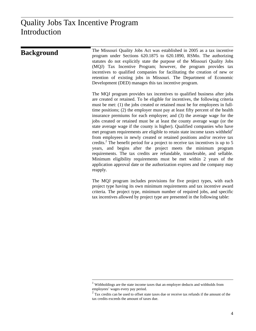l

| <b>Background</b> | The Missouri Quality Jobs Act was established in 2005 as a tax incentive<br>program under Sections 620.1875 to 620.1890, RSMo. The authorizing<br>statutes do not explicitly state the purpose of the Missouri Quality Jobs<br>(MQJ) Tax Incentive Program; however, the program provides tax<br>incentives to qualified companies for facilitating the creation of new or<br>retention of existing jobs in Missouri. The Department of Economic<br>Development (DED) manages this tax incentive program.                                                                                                                                                                                                                                                                                                                                                                                                                                                                                                                                                                                                                                             |
|-------------------|-------------------------------------------------------------------------------------------------------------------------------------------------------------------------------------------------------------------------------------------------------------------------------------------------------------------------------------------------------------------------------------------------------------------------------------------------------------------------------------------------------------------------------------------------------------------------------------------------------------------------------------------------------------------------------------------------------------------------------------------------------------------------------------------------------------------------------------------------------------------------------------------------------------------------------------------------------------------------------------------------------------------------------------------------------------------------------------------------------------------------------------------------------|
|                   | The MQJ program provides tax incentives to qualified business after jobs<br>are created or retained. To be eligible for incentives, the following criteria<br>must be met: (1) the jobs created or retained must be for employees in full-<br>time positions; (2) the employer must pay at least fifty percent of the health<br>insurance premiums for each employee; and (3) the average wage for the<br>jobs created or retained must be at least the county average wage (or the<br>state average wage if the county is higher). Qualified companies who have<br>met program requirements are eligible to retain state income taxes withheld <sup>1</sup><br>from employees in newly created or retained positions and/or receive tax<br>credits. <sup>2</sup> The benefit period for a project to receive tax incentives is up to 5<br>years, and begins after the project meets the minimum program<br>requirements. The tax credits are refundable, transferable, and sellable.<br>Minimum eligibility requirements must be met within 2 years of the<br>application approval date or the authorization expires and the company may<br>reapply. |
|                   | The MQJ program includes provisions for five project types, with each                                                                                                                                                                                                                                                                                                                                                                                                                                                                                                                                                                                                                                                                                                                                                                                                                                                                                                                                                                                                                                                                                 |

project type having its own minimum requirements and tax incentive award criteria. The project type, minimum number of required jobs, and specific tax incentives allowed by project type are presented in the following table:

 $<sup>1</sup>$  Withholdings are the state income taxes that an employer deducts and withholds from</sup> employees' wages every pay period.<br> $2^{2}$  Tax credits can be used to offset state taxes due or receive tax refunds if the amount of the

tax credits exceeds the amount of taxes due.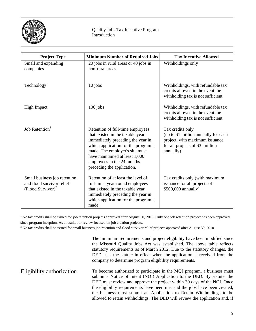

| <b>Project Type</b>                                                                        | <b>Minimum Number of Required Jobs</b>                                                                                                                                                                                                                                            | <b>Tax Incentive Allowed</b>                                                                                                               |
|--------------------------------------------------------------------------------------------|-----------------------------------------------------------------------------------------------------------------------------------------------------------------------------------------------------------------------------------------------------------------------------------|--------------------------------------------------------------------------------------------------------------------------------------------|
| Small and expanding<br>companies                                                           | 20 jobs in rural areas or 40 jobs in<br>non-rural areas                                                                                                                                                                                                                           | Withholdings only                                                                                                                          |
| Technology                                                                                 | $10$ jobs                                                                                                                                                                                                                                                                         | Withholdings, with refundable tax<br>credits allowed in the event the<br>withholding tax is not sufficient                                 |
| <b>High Impact</b>                                                                         | $100$ jobs                                                                                                                                                                                                                                                                        | Withholdings, with refundable tax<br>credits allowed in the event the<br>withholding tax is not sufficient                                 |
| Job Retention <sup>1</sup>                                                                 | Retention of full-time employees<br>that existed in the taxable year<br>immediately preceding the year in<br>which application for the program is<br>made. The employer's site must<br>have maintained at least 1,000<br>employees in the 24 months<br>preceding the application. | Tax credits only<br>(up to \$1 million annually for each<br>project, with maximum issuance<br>for all projects of \$3 million<br>annually) |
| Small business job retention<br>and flood survivor relief<br>(Flood Survivor) <sup>2</sup> | Retention of at least the level of<br>full-time, year-round employees<br>that existed in the taxable year<br>immediately preceding the year in<br>which application for the program is<br>made.                                                                                   | Tax credits only (with maximum<br>issuance for all projects of<br>\$500,000 annually)                                                      |

<sup>1</sup> No tax credits shall be issued for job retention projects approved after August 30, 2013. Only one job retention project has been approved since program inception. As a result, our review focused on job creation projects. 2

 $<sup>2</sup>$  No tax credits shall be issued for small business job retention and flood survivor relief projects approved after August 30, 2010.</sup>

The minimum requirements and project eligibility have been modified since the Missouri Quality Jobs Act was established. The above table reflects statutory requirements as of March 2012. Due to the statutory changes, the DED uses the statute in effect when the application is received from the company to determine program eligibility requirements.

To become authorized to participate in the MQJ program, a business must submit a Notice of Intent (NOI) Application to the DED. By statute, the DED must review and approve the project within 30 days of the NOI. Once the eligibility requirements have been met and the jobs have been created, the business must submit an Application to Retain Withholdings to be allowed to retain withholdings. The DED will review the application and, if Eligibility authorization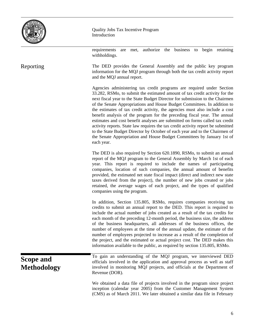

Quality Jobs Tax Incentive Program Introduction

requirements are met, authorize the business to begin retaining withholdings.

The DED provides the General Assembly and the public key program information for the MQJ program through both the tax credit activity report and the MQJ annual report. Reporting

> Agencies administering tax credit programs are required under Section 33.282, RSMo, to submit the estimated amount of tax credit activity for the next fiscal year to the State Budget Director for submission to the Chairmen of the Senate Appropriations and House Budget Committees. In addition to the estimates of tax credit activity, the agencies must also include a cost benefit analysis of the program for the preceding fiscal year. The annual estimates and cost benefit analyses are submitted on forms called tax credit activity reports. State law requires the tax credit activity report be submitted to the State Budget Director by October of each year and to the Chairmen of the Senate Appropriation and House Budget Committees by January 1st of each year.

> The DED is also required by Section 620.1890, RSMo, to submit an annual report of the MQJ program to the General Assembly by March 1st of each year. This report is required to include the names of participating companies, location of such companies, the annual amount of benefits provided, the estimated net state fiscal impact (direct and indirect new state taxes derived from the project), the number of new jobs created or jobs retained, the average wages of each project, and the types of qualified companies using the program.

> In addition, Section 135.805, RSMo, requires companies receiving tax credits to submit an annual report to the DED. This report is required to include the actual number of jobs created as a result of the tax credits for each month of the preceding 12-month period, the business size, the address of the business headquarters, all addresses of the business offices, the number of employees at the time of the annual update, the estimate of the number of employees projected to increase as a result of the completion of the project, and the estimated or actual project cost. The DED makes this information available to the public, as required by section 135.805, RSMo.

**Scope and Methodology**  To gain an understanding of the MQJ program, we interviewed DED officials involved in the application and approval process as well as staff involved in monitoring MQJ projects, and officials at the Department of Revenue (DOR).

We obtained a data file of projects involved in the program since project inception (calendar year 2005) from the Customer Management System (CMS) as of March 2011. We later obtained a similar data file in February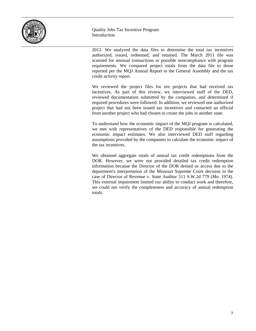

Quality Jobs Tax Incentive Program Introduction

2012. We analyzed the data files to determine the total tax incentives authorized, issued, redeemed, and retained. The March 2011 file was scanned for unusual transactions or possible noncompliance with program requirements. We compared project totals from the data file to those reported per the MQJ Annual Report to the General Assembly and the tax credit activity report.

We reviewed the project files for ten projects that had received tax incentives. As part of this review, we interviewed staff of the DED, reviewed documentation submitted by the companies, and determined if required procedures were followed. In addition, we reviewed one authorized project that had not been issued tax incentives and contacted an official from another project who had chosen to create the jobs in another state.

To understand how the economic impact of the MQJ program is calculated, we met with representatives of the DED responsible for generating the economic impact estimates. We also interviewed DED staff regarding assumptions provided by the companies to calculate the economic impact of the tax incentives.

We obtained aggregate totals of annual tax credit redemptions from the DOR. However, we were not provided detailed tax credit redemption information because the Director of the DOR denied us access due to the department's interpretation of the Missouri Supreme Court decision in the case of Director of Revenue v. State Auditor 511 S.W.2d 779 (Mo. 1974). This external impairment limited our ability to conduct work and therefore, we could not verify the completeness and accuracy of annual redemption totals.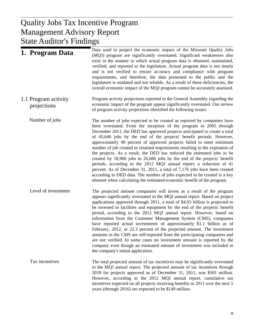#### $U<sub>L</sub>$  Donort Management Advisory Report Quality Jobs Tax Incentive Program State Auditor's Findings

| 1. Program Data                     | Data used to project the economic impact of the Missouri Quality Jobs<br>(MQJ) program are significantly overstated. Significant weaknesses also<br>exist in the manner in which actual program data is obtained, maintained,<br>verified, and reported to the legislature. Actual program data is not timely<br>and is not verified to ensure accuracy and compliance with program<br>requirements, and therefore, the data presented to the public and the<br>legislature is outdated and not reliable. As a result of these deficiencies, the<br>overall economic impact of the MQJ program cannot be accurately assessed.                                                                                                                                                                                                                                                                                                    |
|-------------------------------------|----------------------------------------------------------------------------------------------------------------------------------------------------------------------------------------------------------------------------------------------------------------------------------------------------------------------------------------------------------------------------------------------------------------------------------------------------------------------------------------------------------------------------------------------------------------------------------------------------------------------------------------------------------------------------------------------------------------------------------------------------------------------------------------------------------------------------------------------------------------------------------------------------------------------------------|
| 1.1 Program activity<br>projections | Program activity projections reported to the General Assembly regarding the<br>economic impact of the program appear significantly overstated. Our review<br>of program activity projections identified the following issues:                                                                                                                                                                                                                                                                                                                                                                                                                                                                                                                                                                                                                                                                                                    |
| Number of jobs                      | The number of jobs expected to be created as reported by companies have<br>been overstated. From the inception of the program in 2005 through<br>December 2011, the DED has approved projects anticipated to create a total<br>of 45,646 jobs by the end of the projects' benefit periods. However,<br>approximately 40 percent of approved projects failed to meet minimum<br>number of job created or retained requirements resulting in the expiration of<br>the projects. As a result, the DED has reduced the estimated jobs to be<br>created by 18,960 jobs to 26,686 jobs by the end of the projects' benefit<br>periods, according to the 2012 MQJ annual report; a reduction of 41<br>percent. As of December 31, 2011, a total of 7,176 jobs have been created<br>according to DED data. The number of jobs expected to be created is a key<br>element when calculating the estimated economic benefit of the program. |
| Level of investment                 | The projected amount companies will invest as a result of the program<br>appears significantly overstated in the MQJ annual report. Based on project<br>applications approved through 2011, a total of \$4.93 billion is projected to<br>be invested in facilities and equipment by the end of the projects' benefit<br>period, according to the 2012 MQJ annual report. However, based on<br>information from the Customer Management System (CMS), companies<br>have reported actual investments of approximately \$1.1 billion as of<br>February, 2012, or 22.3 percent of the projected amount. The investment<br>amounts in the CMS are self-reported from the participating companies and<br>are not verified. In some cases no investment amount is reported by the<br>company even though an estimated amount of investment was included in<br>the company's initial application.                                        |
| Tax incentives                      | The total projected amount of tax incentives may be significantly overstated<br>in the MQJ annual report. The projected amount of tax incentives through<br>2018 for projects approved as of December 31, 2011, was \$501 million.<br>However, according to the 2012 MQJ annual report, cumulative tax<br>incentives expected on all projects receiving benefits in 2011 over the next 5<br>years (through 2016) are expected to be \$149 million.                                                                                                                                                                                                                                                                                                                                                                                                                                                                               |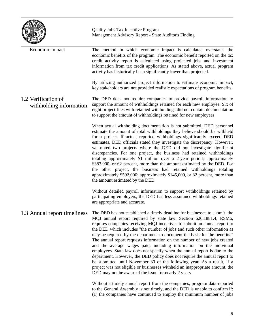|                                                 | Quality Jobs Tax Incentive Program<br>Management Advisory Report - State Auditor's Finding                                                                                                                                                                                                                                                                                                                                                                                                                                                                                                                                                                                                                                                                                                                                                                                                                                |
|-------------------------------------------------|---------------------------------------------------------------------------------------------------------------------------------------------------------------------------------------------------------------------------------------------------------------------------------------------------------------------------------------------------------------------------------------------------------------------------------------------------------------------------------------------------------------------------------------------------------------------------------------------------------------------------------------------------------------------------------------------------------------------------------------------------------------------------------------------------------------------------------------------------------------------------------------------------------------------------|
| Economic impact                                 | The method in which economic impact is calculated overstates the<br>economic benefits of the program. The economic benefit reported on the tax<br>credit activity report is calculated using projected jobs and investment<br>information from tax credit applications. As stated above, actual program<br>activity has historically been significantly lower than projected.                                                                                                                                                                                                                                                                                                                                                                                                                                                                                                                                             |
|                                                 | By utilizing authorized project information to estimate economic impact,<br>key stakeholders are not provided realistic expectations of program benefits.                                                                                                                                                                                                                                                                                                                                                                                                                                                                                                                                                                                                                                                                                                                                                                 |
| 1.2 Verification of<br>with holding information | The DED does not require companies to provide payroll information to<br>support the amount of withholdings retained for each new employee. Six of<br>eight project files with retained withholdings did not contain documentation<br>to support the amount of withholdings retained for new employees.                                                                                                                                                                                                                                                                                                                                                                                                                                                                                                                                                                                                                    |
|                                                 | When actual withholding documentation is not submitted, DED personnel<br>estimate the amount of total withholdings they believe should be withheld<br>for a project. If actual reported withholdings significantly exceed DED<br>estimates, DED officials stated they investigate the discrepancy. However,<br>we noted two projects where the DED did not investigate significant<br>discrepancies. For one project, the business had retained withholdings<br>totaling approximately \$1 million over a 2-year period; approximately<br>\$383,000, or 62 percent, more than the amount estimated by the DED. For<br>the other project, the business had retained withholdings totaling<br>approximately \$592,000; approximately \$145,000, or 32 percent, more than<br>the amount estimated by the DED.                                                                                                                |
|                                                 | Without detailed payroll information to support withholdings retained by<br>participating employers, the DED has less assurance withholdings retained<br>are appropriate and accurate.                                                                                                                                                                                                                                                                                                                                                                                                                                                                                                                                                                                                                                                                                                                                    |
| 1.3 Annual report timeliness                    | The DED has not established a timely deadline for businesses to submit the<br>MQJ annual report required by state law. Section 620.1881.4, RSMo,<br>requires companies receiving MQJ incentives to submit an annual report to<br>the DED which includes "the number of jobs and such other information as<br>may be required by the department to document the basis for the benefits."<br>The annual report requests information on the number of new jobs created<br>and the average wages paid, including information on the individual<br>employees. State law does not specify when the annual report is due to the<br>department. However, the DED policy does not require the annual report to<br>be submitted until November 30 of the following year. As a result, if a<br>project was not eligible or businesses withheld an inappropriate amount, the<br>DED may not be aware of the issue for nearly 2 years. |
|                                                 | Without a timely annual report from the companies, program data reported<br>to the General Assembly is not timely, and the DED is unable to confirm if:<br>(1) the companies have continued to employ the minimum number of jobs                                                                                                                                                                                                                                                                                                                                                                                                                                                                                                                                                                                                                                                                                          |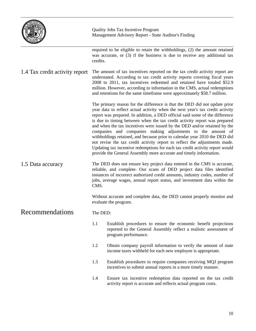|                                | <b>Quality Jobs Tax Incentive Program</b><br>Management Advisory Report - State Auditor's Finding                                                                                                                                                                                                                                                                                             |                                                                                                                                                                                                                                                                                                                                                                                                                                                                                                                                                                                                                                                                                                                                                                                        |  |  |  |
|--------------------------------|-----------------------------------------------------------------------------------------------------------------------------------------------------------------------------------------------------------------------------------------------------------------------------------------------------------------------------------------------------------------------------------------------|----------------------------------------------------------------------------------------------------------------------------------------------------------------------------------------------------------------------------------------------------------------------------------------------------------------------------------------------------------------------------------------------------------------------------------------------------------------------------------------------------------------------------------------------------------------------------------------------------------------------------------------------------------------------------------------------------------------------------------------------------------------------------------------|--|--|--|
|                                | credits.                                                                                                                                                                                                                                                                                                                                                                                      | required to be eligible to retain the withholdings, (2) the amount retained<br>was accurate, or (3) if the business is due to receive any additional tax                                                                                                                                                                                                                                                                                                                                                                                                                                                                                                                                                                                                                               |  |  |  |
| 1.4 Tax credit activity report | The amount of tax incentives reported on the tax credit activity report are<br>understated. According to tax credit activity reports covering fiscal years<br>2008 to 2011, tax incentives redeemed and retained have totaled \$52.9<br>million. However, according to information in the CMS, actual redemptions<br>and retentions for the same timeframe were approximately \$58.7 million. |                                                                                                                                                                                                                                                                                                                                                                                                                                                                                                                                                                                                                                                                                                                                                                                        |  |  |  |
|                                |                                                                                                                                                                                                                                                                                                                                                                                               | The primary reason for the difference is that the DED did not update prior<br>year data to reflect actual activity when the next year's tax credit activity<br>report was prepared. In addition, a DED official said some of the difference<br>is due to timing between when the tax credit activity report was prepared<br>and when the tax incentives were issued by the DED and/or retained by the<br>companies and companies making adjustments to the amount of<br>withholdings retained, and because prior to calendar year 2010 the DED did<br>not revise the tax credit activity report to reflect the adjustments made.<br>Updating tax incentive redemptions for each tax credit activity report would<br>provide the General Assembly more accurate and timely information. |  |  |  |
| 1.5 Data accuracy              | The DED does not ensure key project data entered in the CMS is accurate,<br>reliable, and complete. Our scans of DED project data files identified<br>instances of incorrect authorized credit amounts, industry codes, number of<br>jobs, average wages, annual report status, and investment data within the<br>CMS.                                                                        |                                                                                                                                                                                                                                                                                                                                                                                                                                                                                                                                                                                                                                                                                                                                                                                        |  |  |  |
|                                | Without accurate and complete data, the DED cannot properly monitor and<br>evaluate the program.                                                                                                                                                                                                                                                                                              |                                                                                                                                                                                                                                                                                                                                                                                                                                                                                                                                                                                                                                                                                                                                                                                        |  |  |  |
| <b>Recommendations</b>         | The DED:                                                                                                                                                                                                                                                                                                                                                                                      |                                                                                                                                                                                                                                                                                                                                                                                                                                                                                                                                                                                                                                                                                                                                                                                        |  |  |  |
|                                | 1.1<br>Establish procedures to ensure the economic benefit projections<br>reported to the General Assembly reflect a realistic assessment of<br>program performance.                                                                                                                                                                                                                          |                                                                                                                                                                                                                                                                                                                                                                                                                                                                                                                                                                                                                                                                                                                                                                                        |  |  |  |
|                                | 1.2                                                                                                                                                                                                                                                                                                                                                                                           | Obtain company payroll information to verify the amount of state<br>income taxes withheld for each new employee is appropriate.                                                                                                                                                                                                                                                                                                                                                                                                                                                                                                                                                                                                                                                        |  |  |  |
|                                | 1.3                                                                                                                                                                                                                                                                                                                                                                                           | Establish procedures to require companies receiving MQJ program<br>incentives to submit annual reports in a more timely manner.                                                                                                                                                                                                                                                                                                                                                                                                                                                                                                                                                                                                                                                        |  |  |  |
|                                | 1.4<br>Ensure tax incentive redemption data reported on the tax credit<br>activity report is accurate and reflects actual program costs.                                                                                                                                                                                                                                                      |                                                                                                                                                                                                                                                                                                                                                                                                                                                                                                                                                                                                                                                                                                                                                                                        |  |  |  |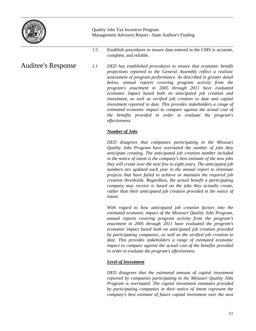

1.5 Establish procedures to ensure data entered in the CMS is accurate, complete, and reliable.

*1.1 DED has established procedures to ensure that economic benefit projections reported to the General Assembly reflect a realistic assessment of program performance. As described in greater detail below, annual reports covering program activity from the program's enactment in 2005 through 2011 have evaluated economic impact based both on anticipated job creation and investment, as well as verified job creation to date and capital investment reported to date. This provides stakeholders a range of estimated economic impact to compare against the actual cost of the benefits provided in order to evaluate the program's effectiveness.*  Auditee's Response

#### *Number of Jobs*

 *DED disagrees that companies participating in the Missouri Quality Jobs Program have overstated the number of jobs they anticipate creating. The anticipated job creation number included in the notice of intent is the company's best estimate of the new jobs they will create over the next five to eight years. The anticipated job numbers are updated each year in the annual report to eliminate projects that have failed to achieve or maintain the required job creation thresholds. Regardless, the actual benefit a participating company may receive is based on the jobs they actually create, rather than their anticipated job creation provided in the notice of intent.* 

 *With regard to how anticipated job creation factors into the estimated economic impact of the Missouri Quality Jobs Program, annual reports covering program activity from the program's enactment in 2005 through 2011 have evaluated the program's economic impact based both on anticipated job creation provided by participating companies, as well as the verified job creation to date. This provides stakeholders a range of estimated economic impact to compare against the actual cost of the benefits provided in order to evaluate the program's effectiveness.* 

#### *Level of Investment*

 *DED disagrees that the estimated amount of capital investment reported by companies participating in the Missouri Quality Jobs Program is overstated. The capital investment estimates provided by participating companies in their notice of intent represent the company's best estimate of future capital investment over the next*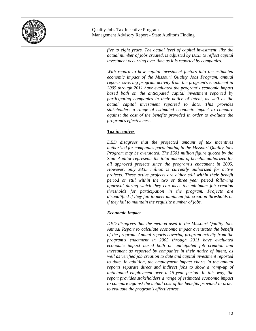

> *five to eight years. The actual level of capital investment, like the actual number of jobs created, is adjusted by DED to reflect capital investment occurring over time as it is reported by companies.*

> *With regard to how capital investment factors into the estimated economic impact of the Missouri Quality Jobs Program, annual reports covering program activity from the program's enactment in 2005 through 2011 have evaluated the program's economic impact based both on the anticipated capital investment reported by participating companies in their notice of intent, as well as the actual capital investment reported to date. This provides stakeholders a range of estimated economic impact to compare against the cost of the benefits provided in order to evaluate the program's effectiveness.*

#### *Tax incentives*

 *DED disagrees that the projected amount of tax incentives authorized for companies participating in the Missouri Quality Jobs Program may be overstated. The \$501 million figure quoted by the State Auditor represents the total amount of benefits authorized for all approved projects since the program's enactment in 2005. However, only \$335 million is currently authorized for active projects. These active projects are either still within their benefit period or still within the two or three year period following approval during which they can meet the minimum job creation thresholds for participation in the program. Projects are disqualified if they fail to meet minimum job creation thresholds or if they fail to maintain the requisite number of jobs.* 

#### *Economic Impact*

 *DED disagrees that the method used in the Missouri Quality Jobs Annual Report to calculate economic impact overstates the benefit of the program. Annual reports covering program activity from the program's enactment in 2005 through 2011 have evaluated economic impact based both on anticipated job creation and investment as reported by companies in their notice of intent, as well as verified job creation to date and capital investment reported to date. In addition, the employment impact charts in the annual reports separate direct and indirect jobs to show a ramp-up of anticipated employment over a 15-year period. In this way, the report provides stakeholders a range of estimated economic impact to compare against the actual cost of the benefits provided in order to evaluate the program's effectiveness.*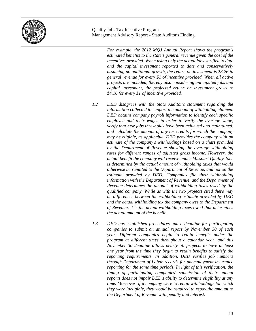

 *For example, the 2012 MQJ Annual Report shows the program's estimated benefits to the state's general revenue given the cost of the incentives provided. When using only the actual jobs verified to date and the capital investment reported to date and conservatively assuming no additional growth, the return on investment is \$3.26 in general revenue for every \$1 of incentive provided. When all active projects are included, thereby also considering anticipated jobs and capital investment, the projected return on investment grows to \$4.16 for every \$1 of incentive provided.* 

- *1.2 DED disagrees with the State Auditor's statement regarding the information collected to support the amount of withholding claimed. DED obtains company payroll information to identify each specific employee and their wages in order to verify the average wage, verify that new jobs thresholds have been achieved and maintained, and calculate the amount of any tax credits for which the company may be eligible, as applicable. DED provides the company with an estimate of the company's withholdings based on a chart provided by the Department of Revenue showing the average withholding rates for different ranges of adjusted gross income. However, the actual benefit the company will receive under Missouri Quality Jobs is determined by the actual amount of withholding taxes that would otherwise be remitted to the Department of Revenue, and not on the estimate provided by DED. Companies file their withholding information with the Department of Revenue, and the Department of Revenue determines the amount of withholding taxes owed by the qualified company. While as with the two projects cited there may be differences between the withholding estimate provided by DED and the actual withholding tax the company owes to the Department of Revenue, it is the actual withholding taxes owed that determines the actual amount of the benefit.*
- *1.3 DED has established procedures and a deadline for participating companies to submit an annual report by November 30 of each year. Different companies begin to retain benefits under the program at different times throughout a calendar year, and this November 30 deadline allows nearly all projects to have at least one year from the time they begin to retain benefits to satisfy the reporting requirements. In addition, DED verifies job numbers through Department of Labor records for unemployment insurance reporting for the same time periods. In light of this verification, the timing of participating companies' submission of their annual reports does not impair DED's ability to determine eligibility at any time. Moreover, if a company were to retain withholdings for which they were ineligible, they would be required to repay the amount to the Department of Revenue with penalty and interest.*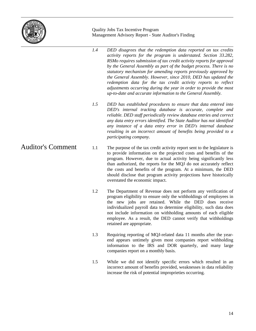

- *1.4 DED disagrees that the redemption data reported on tax credits activity reports for the program is understated. Section 33.282, RSMo requires submission of tax credit activity reports for approval by the General Assembly as part of the budget process. There is no statutory mechanism for amending reports previously approved by the General Assembly. However, since 2010, DED has updated the redemption data for the tax credit activity reports to reflect adjustments occurring during the year in order to provide the most up-to-date and accurate information to the General Assembly.*
- *1.5 DED has established procedures to ensure that data entered into DED's internal tracking database is accurate, complete and reliable. DED staff periodically review database entries and correct any data entry errors identified. The State Auditor has not identified any instance of a data entry error in DED's internal database resulting in an incorrect amount of benefits being provided to a participating company.*
- 1.1 The purpose of the tax credit activity report sent to the legislature is to provide information on the projected costs and benefits of the program. However, due to actual activity being significantly less than authorized, the reports for the MQJ do not accurately reflect the costs and benefits of the program. At a minimum, the DED should disclose that program activity projections have historically overstated the economic impact.
	- 1.2 The Department of Revenue does not perform any verification of program eligibility to ensure only the withholdings of employees in the new jobs are retained. While the DED does receive individualized payroll data to determine eligibility, such data does not include information on withholding amounts of each eligible employee. As a result, the DED cannot verify that withholdings retained are appropriate.
	- 1.3 Requiring reporting of MQJ-related data 11 months after the yearend appears untimely given most companies report withholding information to the IRS and DOR quarterly, and many large companies report on a monthly basis.
	- 1.5 While we did not identify specific errors which resulted in an incorrect amount of benefits provided, weaknesses in data reliability increase the risk of potential improprieties occurring.

Auditor's Comment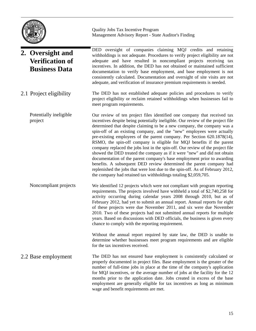

#### DED oversight of companies claiming MQJ credits and retaining withholdings is not adequate. Procedures to verify project eligibility are not adequate and have resulted in noncompliant projects receiving tax incentives. In addition, the DED has not obtained or maintained sufficient documentation to verify base employment, and base employment is not consistently calculated. Documentation and oversight of site visits are not adequate, and verification of insurance premium requirements is needed. The DED has not established adequate policies and procedures to verify project eligibility or reclaim retained withholdings when businesses fail to meet program requirements. Our review of ten project files identified one company that received tax incentives despite being potentially ineligible. Our review of the project file determined that despite claiming to be a new company, the company was a spin-off of an existing company, and the "new" employees were actually pre-existing employees of the parent company. Per Section 620.1878(14), RSMO, the spin-off company is eligible for MQJ benefits if the parent company replaced the jobs lost in the spin-off. Our review of the project file showed the DED treated the company as if it were "new" and did not obtain documentation of the parent company's base employment prior to awarding benefits. A subsequent DED review determined the parent company had replenished the jobs that were lost due to the spin-off. As of February 2012, the company had retained tax withholdings totaling \$2,059,705. We identified 12 projects which were not compliant with program reporting requirements. The projects involved have withheld a total of \$2,740,258 for activity occurring during calendar years 2008 through 2010, but as of February 2012, had yet to submit an annual report. Annual reports for eight of these projects were due November 2011, and six were due November 2010. Two of these projects had not submitted annual reports for multiple years. Based on discussions with DED officials, the business is given every chance to comply with the reporting requirement. Without the annual report required by state law, the DED is unable to determine whether businesses meet program requirements and are eligible for the tax incentives received. The DED has not ensured base employment is consistently calculated or properly documented in project files. Base employment is the greater of the number of full-time jobs in place at the time of the company's application for MQJ incentives, or the average number of jobs at the facility for the 12 months prior to the application date. Jobs created in excess of the base employment are generally eligible for tax incentives as long as minimum wage and benefit requirements are met. **2. Oversight and Verification of Business Data**  2.1 Project eligibility Potentially ineligible project Noncompliant projects 2.2 Base employment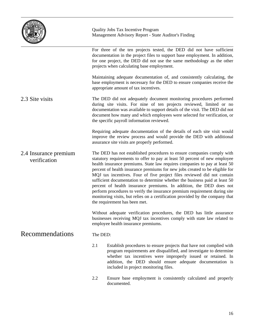|                                       | Quality Jobs Tax Incentive Program<br>Management Advisory Report - State Auditor's Finding                                                                                                                                                                                                                                                                                                                                                                                                                                                                                                                                                                                                                                                          |
|---------------------------------------|-----------------------------------------------------------------------------------------------------------------------------------------------------------------------------------------------------------------------------------------------------------------------------------------------------------------------------------------------------------------------------------------------------------------------------------------------------------------------------------------------------------------------------------------------------------------------------------------------------------------------------------------------------------------------------------------------------------------------------------------------------|
|                                       | For three of the ten projects tested, the DED did not have sufficient<br>documentation in the project files to support base employment. In addition,<br>for one project, the DED did not use the same methodology as the other<br>projects when calculating base employment.                                                                                                                                                                                                                                                                                                                                                                                                                                                                        |
|                                       | Maintaining adequate documentation of, and consistently calculating, the<br>base employment is necessary for the DED to ensure companies receive the<br>appropriate amount of tax incentives.                                                                                                                                                                                                                                                                                                                                                                                                                                                                                                                                                       |
| 2.3 Site visits                       | The DED did not adequately document monitoring procedures performed<br>during site visits. For nine of ten projects reviewed, limited or no<br>documentation was available to support details of the visit. The DED did not<br>document how many and which employees were selected for verification, or<br>the specific payroll information reviewed.                                                                                                                                                                                                                                                                                                                                                                                               |
|                                       | Requiring adequate documentation of the details of each site visit would<br>improve the review process and would provide the DED with additional<br>assurance site visits are properly performed.                                                                                                                                                                                                                                                                                                                                                                                                                                                                                                                                                   |
| 2.4 Insurance premium<br>verification | The DED has not established procedures to ensure companies comply with<br>statutory requirements to offer to pay at least 50 percent of new employee<br>health insurance premiums. State law requires companies to pay at least 50<br>percent of health insurance premiums for new jobs created to be eligible for<br>MQJ tax incentives. Four of five project files reviewed did not contain<br>sufficient documentation to determine whether the business paid at least 50<br>percent of health insurance premiums. In addition, the DED does not<br>perform procedures to verify the insurance premium requirement during site<br>monitoring visits, but relies on a certification provided by the company that<br>the requirement has been met. |
|                                       | Without adequate verification procedures, the DED has little assurance<br>businesses receiving MQJ tax incentives comply with state law related to<br>employee health insurance premiums.                                                                                                                                                                                                                                                                                                                                                                                                                                                                                                                                                           |

#### Recommendations

#### The DED:

2.1 Establish procedures to ensure projects that have not complied with program requirements are disqualified, and investigate to determine whether tax incentives were improperly issued or retained. In addition, the DED should ensure adequate documentation is included in project monitoring files.

2.2 Ensure base employment is consistently calculated and properly documented.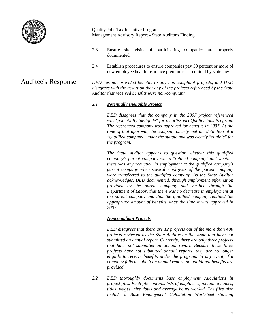

- 2.3 Ensure site visits of participating companies are properly documented.
- 2.4 Establish procedures to ensure companies pay 50 percent or more of new employee health insurance premiums as required by state law.

#### Auditee's Response

*DED has not provided benefits to any non-compliant projects, and DED disagrees with the assertion that any of the projects referenced by the State Auditor that received benefits were non-compliant.* 

#### *2.1 Potentially Ineligible Project*

 *DED disagrees that the company in the 2007 project referenced was "potentially ineligible" for the Missouri Quality Jobs Program. The referenced company was approved for benefits in 2007. At the time of that approval, the company clearly met the definition of a "qualified company" under the statute and was clearly "eligible" for the program.* 

 *The State Auditor appears to question whether this qualified company's parent company was a "related company" and whether there was any reduction in employment at the qualified company's parent company when several employees of the parent company were transferred to the qualified company. As the State Auditor acknowledges, DED documented, through employment information provided by the parent company and verified through the Department of Labor, that there was no decrease in employment at the parent company and that the qualified company retained the appropriate amount of benefits since the time it was approved in 2007.* 

#### *Noncompliant Projects*

*DED disagrees that there are 12 projects out of the more than 400 projects reviewed by the State Auditor on this issue that have not submitted an annual report. Currently, there are only three projects that have not submitted an annual report. Because these three projects have not submitted annual reports, they are no longer eligible to receive benefits under the program. In any event, if a company fails to submit an annual report, no additional benefits are provided.* 

*2.2 DED thoroughly documents base employment calculations in project files. Each file contains lists of employees, including names, titles, wages, hire dates and average hours worked. The files also include a Base Employment Calculation Worksheet showing*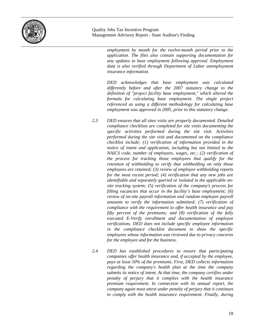

*employment by month for the twelve-month period prior to the application. The files also contain supporting documentation for any updates to base employment following approval. Employment data is also verified through Department of Labor unemployment insurance information.* 

*DED acknowledges that base employment was calculated differently before and after the 2007 statutory change to the definition of "project facility base employment," which altered the formula for calculating base employment. The single project referenced as using a different methodology for calculating base employment was approved in 2005, prior to this statutory change.* 

- *2.3 DED ensures that all sites visits are properly documented. Detailed compliance checklists are completed for site visits documenting the specific activities performed during the site visit. Activities performed during the site visit and documented on the compliance checklist include; (1) verification of information provided in the notice of intent and application, including but not limited to the NAICS code, number of employees, wages, etc.; (2) verification of the process for tracking those employees that qualify for the retention of withholding to verify that withholding on only those employees are retained; (3) review of employee withholding reports for the most recent period; (4) verification that any new jobs are identifiable and separately queried or isolated in the applicable onsite tracking system; (5) verification of the company's process for filling vacancies that occur in the facility's base employment; (6) review of on-site payroll information and random employee payroll amounts to verify the information submitted; (7) verification of compliance with the requirement to offer health insurance and pay fifty percent of the premiums; and (8) verification of the fully executed E-Verify enrollment and documentation of employee verifications. DED does not include specific employee information in the compliance checklist document to show the specific employees whose information was reviewed due to privacy concerns for the employee and for the business.*
- *2.4 DED has established procedures to ensure that participating companies offer health insurance and, if accepted by the employee, pays at least 50% of the premiums. First, DED collects information regarding the company's health plan at the time the company submits its notice of intent. At that time, the company certifies under penalty of perjury that it complies with the health insurance premium requirement. In connection with its annual report, the company again must attest under penalty of perjury that it continues to comply with the health insurance requirement. Finally, during*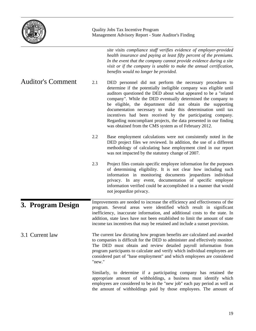|                          | Quality Jobs Tax Incentive Program<br>Management Advisory Report - State Auditor's Finding |                                                                                                                                                                                                                                                                                                                                                                                                                                                                                                                                                                                               |  |
|--------------------------|--------------------------------------------------------------------------------------------|-----------------------------------------------------------------------------------------------------------------------------------------------------------------------------------------------------------------------------------------------------------------------------------------------------------------------------------------------------------------------------------------------------------------------------------------------------------------------------------------------------------------------------------------------------------------------------------------------|--|
|                          |                                                                                            | site visits compliance staff verifies evidence of employer-provided<br>health insurance and paying at least fifty percent of the premiums.<br>In the event that the company cannot provide evidence during a site<br>visit or if the company is unable to make the annual certification,<br>benefits would no longer be provided.                                                                                                                                                                                                                                                             |  |
| <b>Auditor's Comment</b> | 2.1                                                                                        | DED personnel did not perform the necessary procedures to<br>determine if the potentially ineligible company was eligible until<br>auditors questioned the DED about what appeared to be a "related<br>company". While the DED eventually determined the company to<br>be eligible, the department did not obtain the supporting<br>documentation necessary to make this determination until tax<br>incentives had been received by the participating company.<br>Regarding noncompliant projects, the data presented in our finding<br>was obtained from the CMS system as of February 2012. |  |
|                          | 2.2                                                                                        | Base employment calculations were not consistently noted in the<br>DED project files we reviewed. In addition, the use of a different<br>methodology of calculating base employment cited in our report<br>was not impacted by the statutory change of 2007.                                                                                                                                                                                                                                                                                                                                  |  |
|                          | 2.3                                                                                        | Project files contain specific employee information for the purposes<br>of determining eligibility. It is not clear how including such<br>information in monitoring documents jeopardizes individual<br>privacy. In any event, documentation of specific employee<br>information verified could be accomplished in a manner that would<br>not jeopardize privacy.                                                                                                                                                                                                                             |  |
| 3. Program Design        |                                                                                            | Improvements are needed to increase the efficiency and effectiveness of the<br>program. Several areas were identified which result in significant<br>inefficiency, inaccurate information, and additional costs to the state. In<br>addition, state laws have not been established to limit the amount of state<br>income tax incentives that may be retained and include a sunset provision.                                                                                                                                                                                                 |  |
| 3.1 Current law          | "new."                                                                                     | The current law dictating how program benefits are calculated and awarded<br>to companies is difficult for the DED to administer and effectively monitor.<br>The DED must obtain and review detailed payroll information from<br>program participants to calculate and verify which individual employees are<br>considered part of "base employment" and which employees are considered                                                                                                                                                                                                       |  |
|                          |                                                                                            | Similarly, to determine if a participating company has retained the<br>appropriate amount of withholdings, a business must identify which<br>employees are considered to be in the "new job" each pay period as well as<br>the amount of withholdings paid by those employees. The amount of                                                                                                                                                                                                                                                                                                  |  |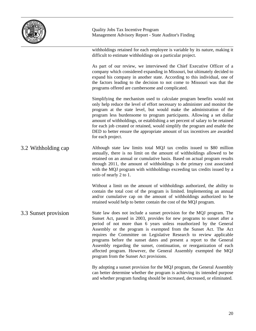

withholdings retained for each employee is variable by its nature, making it difficult to estimate withholdings on a particular project.

As part of our review, we interviewed the Chief Executive Officer of a company which considered expanding in Missouri, but ultimately decided to expand his company in another state. According to this individual, one of the factors leading to the decision to not come to Missouri was that the programs offered are cumbersome and complicated.

Simplifying the mechanism used to calculate program benefits would not only help reduce the level of effort necessary to administer and monitor the program at the state level, but would make the administration of the program less burdensome to program participants. Allowing a set dollar amount of withholdings, or establishing a set percent of salary to be retained for each job created or retained, would simplify the program and enable the DED to better ensure the appropriate amount of tax incentives are awarded for each project.

Although state law limits total MQJ tax credits issued to \$80 million annually, there is no limit on the amount of withholdings allowed to be retained on an annual or cumulative basis. Based on actual program results through 2011, the amount of withholdings is the primary cost associated with the MQJ program with withholdings exceeding tax credits issued by a ratio of nearly 2 to 1. 3.2 Withholding cap

> Without a limit on the amount of withholdings authorized, the ability to contain the total cost of the program is limited. Implementing an annual and/or cumulative cap on the amount of withholdings authorized to be retained would help to better contain the cost of the MQJ program.

State law does not include a sunset provision for the MQJ program. The Sunset Act, passed in 2003, provides for new programs to sunset after a period of not more than 6 years unless reauthorized by the General Assembly or the program is exempted from the Sunset Act. The Act requires the Committee on Legislative Research to review applicable programs before the sunset dates and present a report to the General Assembly regarding the sunset, continuation, or reorganization of each affected program. However, the General Assembly exempted the MQJ program from the Sunset Act provisions. 3.3 Sunset provision

> By adopting a sunset provision for the MQJ program, the General Assembly can better determine whether the program is achieving its intended purpose and whether program funding should be increased, decreased, or eliminated.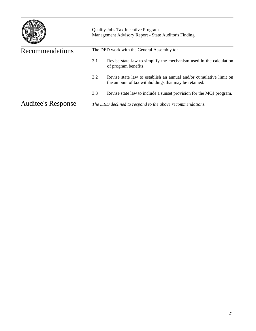|                           | <b>Quality Jobs Tax Incentive Program</b><br>Management Advisory Report - State Auditor's Finding |                                                                                                                            |  |  |
|---------------------------|---------------------------------------------------------------------------------------------------|----------------------------------------------------------------------------------------------------------------------------|--|--|
| Recommendations           |                                                                                                   | The DED work with the General Assembly to:                                                                                 |  |  |
|                           | 3.1                                                                                               | Revise state law to simplify the mechanism used in the calculation<br>of program benefits.                                 |  |  |
|                           | 3.2                                                                                               | Revise state law to establish an annual and/or cumulative limit on<br>the amount of tax withholdings that may be retained. |  |  |
|                           | 3.3                                                                                               | Revise state law to include a sunset provision for the MQJ program.                                                        |  |  |
| <b>Auditee's Response</b> |                                                                                                   | The DED declined to respond to the above recommendations.                                                                  |  |  |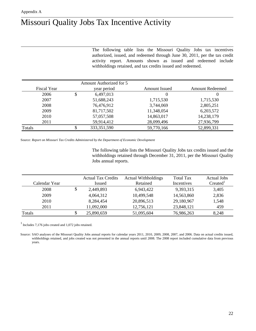## Missouri Quality Jobs Tax Incentive Activity

The following table lists the Missouri Quality Jobs tax incentives authorized, issued, and redeemed through June 30, 2011, per the tax credit activity report. Amounts shown as issued and redeemed include withholdings retained, and tax credits issued and redeemed.

|                    | Amount Authorized for 5 |                      |                        |
|--------------------|-------------------------|----------------------|------------------------|
| <b>Fiscal Year</b> | year period             | <b>Amount Issued</b> | <b>Amount Redeemed</b> |
| 2006               | \$<br>6,497,013         | $_{0}$               | 0                      |
| 2007               | 51,688,243              | 1,715,530            | 1,715,530              |
| 2008               | 76,476,912              | 3,744,069            | 2,805,251              |
| 2009               | 81,717,502              | 11,348,054           | 6,203,572              |
| 2010               | 57,057,508              | 14,863,017           | 14,238,179             |
| 2011               | 59,914,412              | 28,099,496           | 27,936,799             |
| Totals             | 333, 351, 590           | 59,770,166           | 52,899,331             |

Source: *Report on Missouri Tax Credits Administered by the Department of Economic Development* 

The following table lists the Missouri Quality Jobs tax credits issued and the withholdings retained through December 31, 2011, per the Missouri Quality Jobs annual reports.

|               | <b>Actual Tax Credits</b> | <b>Actual Withholdings</b> | <b>Total Tax</b> | Actual Jobs         |
|---------------|---------------------------|----------------------------|------------------|---------------------|
| Calendar Year | Issued                    | Retained                   | Incentives       | Create <sup>1</sup> |
| 2008          | 2,449,893                 | 6,943,422                  | 9,393,315        | 3,405               |
| 2009          | 4,064,312                 | 10,499,548                 | 14,563,860       | 2,836               |
| 2010          | 8,284,454                 | 20,896,513                 | 29,180,967       | 1,548               |
| 2011          | 11,092,000                | 12,756,121                 | 23,848,121       | 459                 |
| Totals        | 25,890,659                | 51,095,604                 | 76,986,263       | 8,248               |

<sup>1</sup> Includes 7,176 jobs created and 1,072 jobs retained.

Source: SAO analyses of the Missouri Quality Jobs annual reports for calendar years 2011, 2010, 2009, 2008, 2007, and 2006. Data on actual credits issued, withholdings retained, and jobs created was not presented in the annual reports until 2008. The 2008 report included cumulative data from previous years.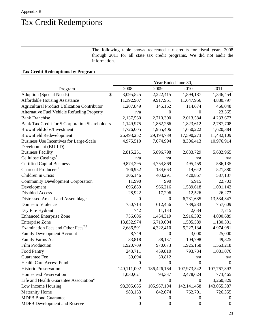## Tax Credit Redemptions

The following table shows redeemed tax credits for fiscal years 2008 through 2011 for all state tax credit programs. We did not audit the information.

#### **Tax Credit Redemptions by Program**

|                                                     | Year Ended June 30, |                  |                  |                  |
|-----------------------------------------------------|---------------------|------------------|------------------|------------------|
| Program                                             | 2008                | 2009             | 2010             | 2011             |
| Adoption (Special Needs)<br>\$                      | 3,095,525           | 2,222,415        | 1,894,187        | 1,346,454        |
| <b>Affordable Housing Assistance</b>                | 11,392,907          | 9,917,951        | 11,647,956       | 4,880,797        |
| <b>Agricultural Product Utilization Contributor</b> | 1,207,849           | 145,162          | 114,674          | 466,048          |
| Alternative Fuel Vehicle Refueling Property         | n/a                 | $\overline{0}$   | 0                | 23,365           |
| <b>Bank Franchise</b>                               | 2,137,560           | 2,710,300        | 2,013,584        | 4,233,673        |
| Bank Tax Credit for S Corporation Shareholders      | 1,149,975           | 1,862,266        | 1,823,612        | 2,787,708        |
| <b>Brownfield Jobs/Investment</b>                   | 1,726,005           | 1,965,406        | 1,650,222        | 1,620,384        |
| <b>Brownfield Redevelopment</b>                     | 26,493,252          | 29,194,789       | 17,590,273       | 11,432,109       |
| Business Use Incentives for Large-Scale             | 4,975,510           | 7,074,994        | 8,306,413        | 10,976,914       |
| Development (BUILD)                                 |                     |                  |                  |                  |
| <b>Business Facility</b>                            | 2,815,251           | 5,896,798        | 2,883,729        | 5,682,965        |
| Cellulose Castings <sup>1</sup>                     | n/a                 | n/a              | n/a              | n/a              |
| <b>Certified Capital Business</b>                   | 9,874,295           | 4,754,869        | 495,459          | 586,135          |
| Charcoal Producers <sup>1</sup>                     | 106,952             | 134,663          | 14,642           | 521,380          |
| Children in Crisis                                  | 306,146             | 403,291          | 420,857          | 587,137          |
| <b>Community Development Corporation</b>            | 11,990              | 990              | 5,915            | 22,703           |
| Development                                         | 696,889             | 966,216          | 1,589,618        | 1,001,142        |
| <b>Disabled Access</b>                              | 28,922              | 17,206           | 12,526           | 26,273           |
| Distressed Areas Land Assemblage                    | $\boldsymbol{0}$    | $\boldsymbol{0}$ | 6,731,635        | 13,534,347       |
| <b>Domestic Violence</b>                            | 750,714             | 612,456          | 789,233          | 757,609          |
| Dry Fire Hydrant                                    | 742                 | 11,133           | 2,634            | 7,715            |
| <b>Enhanced Enterprise Zone</b>                     | 756,006             | 1,454,319        | 2,916,392        | 4,000,689        |
| <b>Enterprise Zone</b>                              | 13,832,974          | 6,719,004        | 1,505,589        | 1,130,301        |
| Examination Fees and Other Fees <sup>2,3</sup>      | 2,686,591           | 4,322,410        | 5,227,134        | 4,974,981        |
| <b>Family Development Account</b>                   | 8,749               | $\boldsymbol{0}$ | 3,000            | 25,000           |
| Family Farms Act                                    | 33,818              | 88,137           | 104,798          | 49,825           |
| <b>Film Production</b>                              | 1,920,709           | 970,673          | 1,925,158        | 1,563,218        |
| Food Pantry                                         | 243,711             | 459,810          | 793,734          | 1,081,076        |
| <b>Guarantee Fee</b>                                | 39,694              | 30,812           | n/a              | n/a              |
| <b>Health Care Access Fund</b>                      | $\boldsymbol{0}$    | $\boldsymbol{0}$ | $\boldsymbol{0}$ | $\boldsymbol{0}$ |
| <b>Historic Preservation</b>                        | 140,111,002         | 186,426,164      | 107,973,542      | 107,767,393      |
| <b>Homestead Preservation</b>                       | 1,030,621           | 94,337           | 2,478,624        | 773,465          |
| Life and Health Guarantee Association <sup>2</sup>  | 0                   | 0                | $\theta$         | 3,260,829        |
| Low Income Housing                                  | 98,305,085          | 105,967,104      | 142, 141, 458    | 143,055,387      |
| <b>Maternity Home</b>                               | 983,153             | 842,674          | 762,701          | 726,355          |
| <b>MDFB Bond Guarantee</b>                          | 0                   | $\theta$         | $\theta$         | $\theta$         |
| MDFB Development and Reserve                        | $\boldsymbol{0}$    | $\boldsymbol{0}$ | $\boldsymbol{0}$ | $\theta$         |